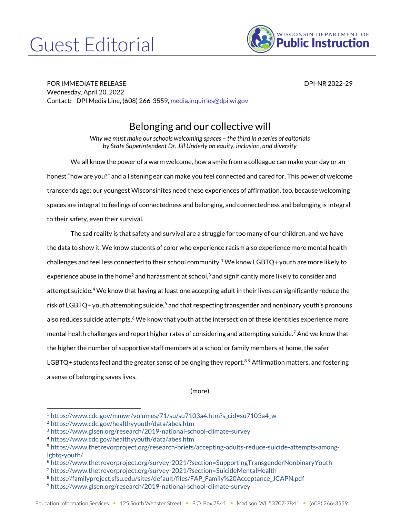## Guest Editorial



FOR IMMEDIATE RELEASE DPI-NR 2022-29 Wednesday, April 20, 2022 Contact: DPI Media Line, (608) 266-3559[, media.inquiries@dpi.wi.gov](mailto:media.inquiries@dpi.wi.gov)

## Belonging and our collective will

*Why we must make our schools welcoming spaces – the third in a series of editorials by State Superintendent Dr. Jill Underly on equity, inclusion, and diversity*

We all know the power of a warm welcome, how a smile from a colleague can make your day or an honest "how are you?" and a listening ear can make you feel connected and cared for. This power of welcome transcends age; our youngest Wisconsinites need these experiences of affirmation, too, because welcoming spaces are integral to feelings of connectedness and belonging, and connectedness and belonging is integral to their safety, even their survival.

The sad reality is that safety and survival are a struggle for too many of our children, and we have the data to show it. We know students of color who experience racism also experience more mental health challenges and feel less connected to their school community.<sup>1</sup> We know LGBTQ+ youth are more likely to experience abuse in the home<sup>2</sup> and harassment at school,<sup>3</sup> and significantly more likely to consider and attempt suicide.<sup>4</sup> We know that having at least one accepting adult in their lives can significantly reduce the risk of LGBTQ+ youth attempting suicide,<sup>5</sup> and that respecting transgender and nonbinary youth's pronouns also reduces suicide attempts.<sup>6</sup> We know that youth at the intersection of these identities experience more mental health challenges and report higher rates of considering and attempting suicide.<sup>7</sup> And we know that the higher the number of supportive staff members at a school or family members at home, the safer LGBTQ+ students feel and the greater sense of belonging they report.<sup>89</sup> Affirmation matters, and fostering a sense of belonging saves lives.

(more)

<sup>1</sup> [https://www.cdc.gov/mmwr/volumes/71/su/su7103a4.htm?s\\_cid=su7103a4\\_w](https://www.cdc.gov/mmwr/volumes/71/su/su7103a4.htm?s_cid=su7103a4_w)

<sup>2</sup> <https://www.cdc.gov/healthyyouth/data/abes.htm>

<sup>3</sup> <https://www.glsen.org/research/2019-national-school-climate-survey>

<sup>4</sup> <https://www.cdc.gov/healthyyouth/data/abes.htm>

<sup>5</sup> [https://www.thetrevorproject.org/research-briefs/accepting-adults-reduce-suicide-attempts-among](https://www.thetrevorproject.org/research-briefs/accepting-adults-reduce-suicide-attempts-among-lgbtq-youth/)[lgbtq-youth/](https://www.thetrevorproject.org/research-briefs/accepting-adults-reduce-suicide-attempts-among-lgbtq-youth/)

<sup>6</sup> <https://www.thetrevorproject.org/survey-2021/?section=SupportingTransgenderNonbinaryYouth>

<sup>7</sup> <https://www.thetrevorproject.org/survey-2021/?section=SuicideMentalHealth>

<sup>8</sup> [https://familyproject.sfsu.edu/sites/default/files/FAP\\_Family%20Acceptance\\_JCAPN.pdf](https://familyproject.sfsu.edu/sites/default/files/FAP_Family%20Acceptance_JCAPN.pdf)

<sup>9</sup> <https://www.glsen.org/research/2019-national-school-climate-survey>